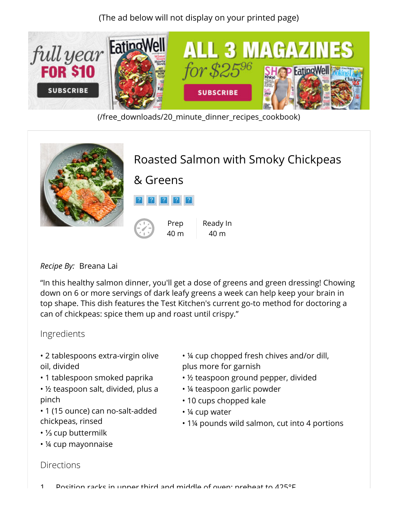(The ad below will not display on your printed page)



[\(/free\\_downloads/20\\_minute\\_dinner\\_recipes\\_cookbook\)](http://www.eatingwell.com/free_downloads/20_minute_dinner_recipes_cookbook)



## *Recipe By:* Breana Lai

"In this healthy salmon dinner, you'll get a dose of greens and green dressing! Chowing down on 6 or more servings of dark leafy greens a week can help keep your brain in top shape. This dish features the Test Kitchen's current go-to method for doctoring a can of chickpeas: spice them up and roast until crispy."

## Ingredients

- 2 tablespoons extra-virgin olive oil, divided
- 1 tablespoon smoked paprika
- ½ teaspoon salt, divided, plus a pinch
- 1 (15 ounce) can no-salt-added chickpeas, rinsed
- ⅓ cup buttermilk
- ¼ cup mayonnaise
- ¼ cup chopped fresh chives and/or dill, plus more for garnish
- ½ teaspoon ground pepper, divided
- ¼ teaspoon garlic powder
- 10 cups chopped kale
- ¼ cup water
- 1¼ pounds wild salmon, cut into 4 portions

## **Directions**